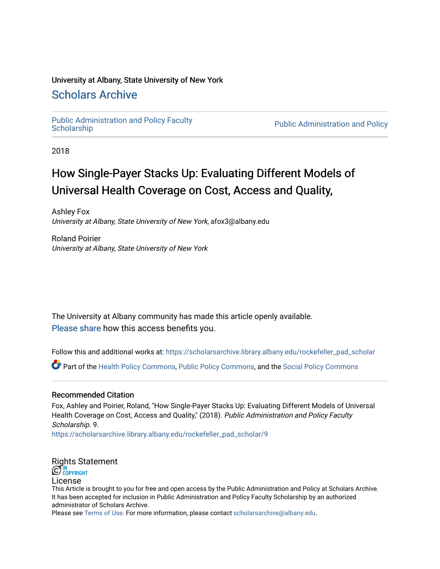## University at Albany, State University of New York

# [Scholars Archive](https://scholarsarchive.library.albany.edu/)

Public Administration and Policy Faculty<br>Scholarship

Public Administration and Policy

2018

# How Single-Payer Stacks Up: Evaluating Different Models of Universal Health Coverage on Cost, Access and Quality,

Ashley Fox University at Albany, State University of New York, afox3@albany.edu

Roland Poirier University at Albany, State University of New York

The University at Albany community has made this article openly available. [Please share](https://albany.libwizard.com/f/open-access-feedback) how this access benefits you.

Follow this and additional works at: [https://scholarsarchive.library.albany.edu/rockefeller\\_pad\\_scholar](https://scholarsarchive.library.albany.edu/rockefeller_pad_scholar?utm_source=scholarsarchive.library.albany.edu%2Frockefeller_pad_scholar%2F9&utm_medium=PDF&utm_campaign=PDFCoverPages)

Part of the [Health Policy Commons](https://network.bepress.com/hgg/discipline/395?utm_source=scholarsarchive.library.albany.edu%2Frockefeller_pad_scholar%2F9&utm_medium=PDF&utm_campaign=PDFCoverPages), [Public Policy Commons,](https://network.bepress.com/hgg/discipline/400?utm_source=scholarsarchive.library.albany.edu%2Frockefeller_pad_scholar%2F9&utm_medium=PDF&utm_campaign=PDFCoverPages) and the [Social Policy Commons](https://network.bepress.com/hgg/discipline/1030?utm_source=scholarsarchive.library.albany.edu%2Frockefeller_pad_scholar%2F9&utm_medium=PDF&utm_campaign=PDFCoverPages) 

## Recommended Citation

Fox, Ashley and Poirier, Roland, "How Single-Payer Stacks Up: Evaluating Different Models of Universal Health Coverage on Cost, Access and Quality," (2018). Public Administration and Policy Faculty Scholarship. 9.

[https://scholarsarchive.library.albany.edu/rockefeller\\_pad\\_scholar/9](https://scholarsarchive.library.albany.edu/rockefeller_pad_scholar/9?utm_source=scholarsarchive.library.albany.edu%2Frockefeller_pad_scholar%2F9&utm_medium=PDF&utm_campaign=PDFCoverPages)

# [Rights Sta](http://rightsstatements.org/vocab/InC/1.0/)tement

License

This Article is brought to you for free and open access by the Public Administration and Policy at Scholars Archive. It has been accepted for inclusion in Public Administration and Policy Faculty Scholarship by an authorized administrator of Scholars Archive.

Please see [Terms of Use.](https://scholarsarchive.library.albany.edu/terms_of_use.html) For more information, please contact [scholarsarchive@albany.edu](mailto:scholarsarchive@albany.edu).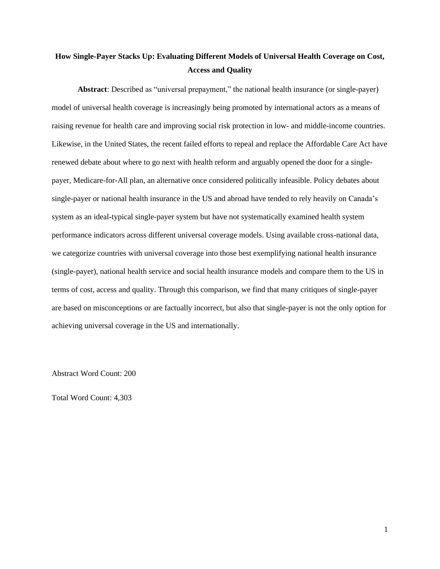# **How Single-Payer Stacks Up: Evaluating Different Models of Universal Health Coverage on Cost, Access and Quality**

**Abstract**: Described as "universal prepayment," the national health insurance (or single-payer) model of universal health coverage is increasingly being promoted by international actors as a means of raising revenue for health care and improving social risk protection in low- and middle-income countries. Likewise, in the United States, the recent failed efforts to repeal and replace the Affordable Care Act have renewed debate about where to go next with health reform and arguably opened the door for a singlepayer, Medicare-for-All plan, an alternative once considered politically infeasible. Policy debates about single-payer or national health insurance in the US and abroad have tended to rely heavily on Canada's system as an ideal-typical single-payer system but have not systematically examined health system performance indicators across different universal coverage models. Using available cross-national data, we categorize countries with universal coverage into those best exemplifying national health insurance (single-payer), national health service and social health insurance models and compare them to the US in terms of cost, access and quality. Through this comparison, we find that many critiques of single-payer are based on misconceptions or are factually incorrect, but also that single-payer is not the only option for achieving universal coverage in the US and internationally.

Abstract Word Count: 200

Total Word Count: 4,303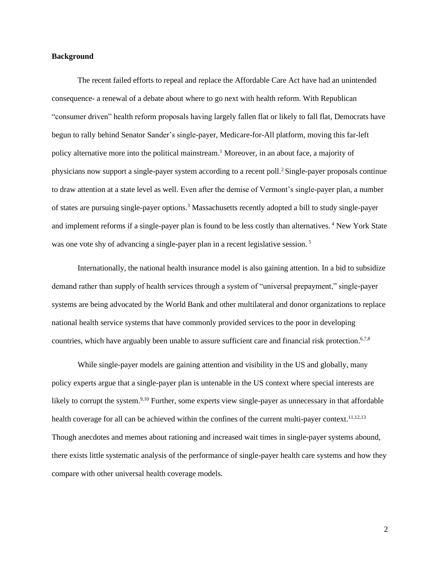#### **Background**

The recent failed efforts to repeal and replace the Affordable Care Act have had an unintended consequence- a renewal of a debate about where to go next with health reform. With Republican "consumer driven" health reform proposals having largely fallen flat or likely to fall flat, Democrats have begun to rally behind Senator Sander's single-payer, Medicare-for-All platform, moving this far-left policy alternative more into the political mainstream. <sup>1</sup> Moreover, in an about face, a majority of physicians now support a single-payer system according to a recent poll.<sup>2</sup> Single-payer proposals continue to draw attention at a state level as well. Even after the demise of Vermont's single-payer plan, a number of states are pursuing single-payer options.<sup>3</sup> Massachusetts recently adopted a bill to study single-payer and implement reforms if a single-payer plan is found to be less costly than alternatives. <sup>4</sup> New York State was one vote shy of advancing a single-payer plan in a recent legislative session.<sup>5</sup>

Internationally, the national health insurance model is also gaining attention. In a bid to subsidize demand rather than supply of health services through a system of "universal prepayment," single-payer systems are being advocated by the World Bank and other multilateral and donor organizations to replace national health service systems that have commonly provided services to the poor in developing countries, which have arguably been unable to assure sufficient care and financial risk protection.<sup>6,7,8</sup>

While single-payer models are gaining attention and visibility in the US and globally, many policy experts argue that a single-payer plan is untenable in the US context where special interests are likely to corrupt the system.<sup>9,10</sup> Further, some experts view single-payer as unnecessary in that affordable health coverage for all can be achieved within the confines of the current multi-payer context.<sup>11,12,13</sup> Though anecdotes and memes about rationing and increased wait times in single-payer systems abound, there exists little systematic analysis of the performance of single-payer health care systems and how they compare with other universal health coverage models.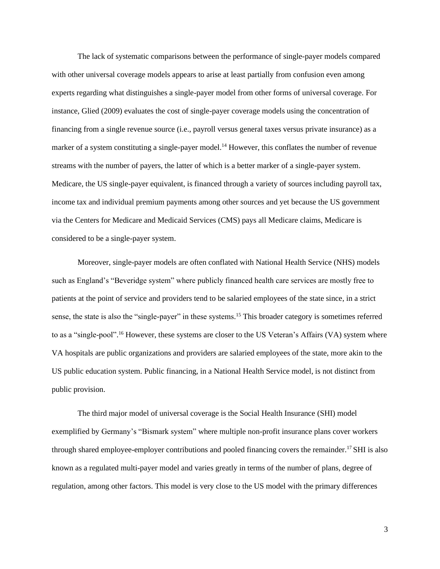The lack of systematic comparisons between the performance of single-payer models compared with other universal coverage models appears to arise at least partially from confusion even among experts regarding what distinguishes a single-payer model from other forms of universal coverage. For instance, Glied (2009) evaluates the cost of single-payer coverage models using the concentration of financing from a single revenue source (i.e., payroll versus general taxes versus private insurance) as a marker of a system constituting a single-payer model.<sup>14</sup> However, this conflates the number of revenue streams with the number of payers, the latter of which is a better marker of a single-payer system. Medicare, the US single-payer equivalent, is financed through a variety of sources including payroll tax, income tax and individual premium payments among other sources and yet because the US government via the Centers for Medicare and Medicaid Services (CMS) pays all Medicare claims, Medicare is considered to be a single-payer system.

Moreover, single-payer models are often conflated with National Health Service (NHS) models such as England's "Beveridge system" where publicly financed health care services are mostly free to patients at the point of service and providers tend to be salaried employees of the state since, in a strict sense, the state is also the "single-payer" in these systems.<sup>15</sup> This broader category is sometimes referred to as a "single-pool".<sup>16</sup> However, these systems are closer to the US Veteran's Affairs (VA) system where VA hospitals are public organizations and providers are salaried employees of the state, more akin to the US public education system. Public financing, in a National Health Service model, is not distinct from public provision.

The third major model of universal coverage is the Social Health Insurance (SHI) model exemplified by Germany's "Bismark system" where multiple non-profit insurance plans cover workers through shared employee-employer contributions and pooled financing covers the remainder.<sup>17</sup> SHI is also known as a regulated multi-payer model and varies greatly in terms of the number of plans, degree of regulation, among other factors. This model is very close to the US model with the primary differences

3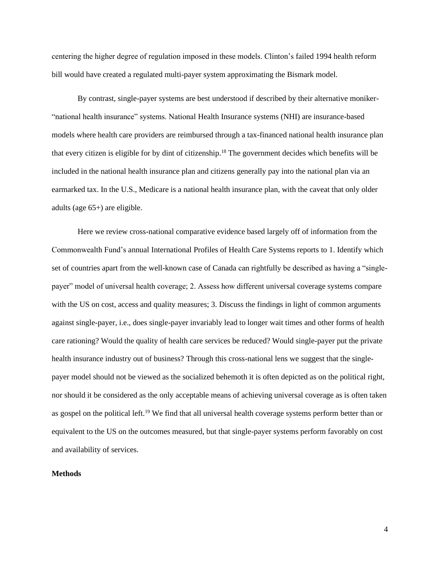centering the higher degree of regulation imposed in these models. Clinton's failed 1994 health reform bill would have created a regulated multi-payer system approximating the Bismark model.

By contrast, single-payer systems are best understood if described by their alternative moniker- "national health insurance" systems. National Health Insurance systems (NHI) are insurance-based models where health care providers are reimbursed through a tax-financed national health insurance plan that every citizen is eligible for by dint of citizenship.<sup>18</sup> The government decides which benefits will be included in the national health insurance plan and citizens generally pay into the national plan via an earmarked tax. In the U.S., Medicare is a national health insurance plan, with the caveat that only older adults (age 65+) are eligible.

Here we review cross-national comparative evidence based largely off of information from the Commonwealth Fund's annual International Profiles of Health Care Systems reports to 1. Identify which set of countries apart from the well-known case of Canada can rightfully be described as having a "singlepayer" model of universal health coverage; 2. Assess how different universal coverage systems compare with the US on cost, access and quality measures; 3. Discuss the findings in light of common arguments against single-payer, i.e., does single-payer invariably lead to longer wait times and other forms of health care rationing? Would the quality of health care services be reduced? Would single-payer put the private health insurance industry out of business? Through this cross-national lens we suggest that the singlepayer model should not be viewed as the socialized behemoth it is often depicted as on the political right, nor should it be considered as the only acceptable means of achieving universal coverage as is often taken as gospel on the political left.<sup>19</sup> We find that all universal health coverage systems perform better than or equivalent to the US on the outcomes measured, but that single-payer systems perform favorably on cost and availability of services.

#### **Methods**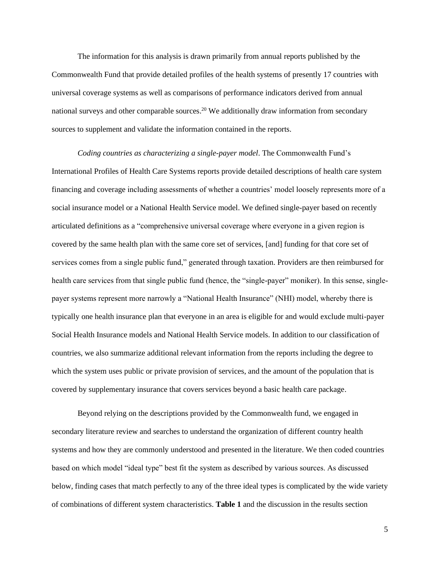The information for this analysis is drawn primarily from annual reports published by the Commonwealth Fund that provide detailed profiles of the health systems of presently 17 countries with universal coverage systems as well as comparisons of performance indicators derived from annual national surveys and other comparable sources.<sup>20</sup> We additionally draw information from secondary sources to supplement and validate the information contained in the reports.

*Coding countries as characterizing a single-payer model*. The Commonwealth Fund's International Profiles of Health Care Systems reports provide detailed descriptions of health care system financing and coverage including assessments of whether a countries' model loosely represents more of a social insurance model or a National Health Service model. We defined single-payer based on recently articulated definitions as a "comprehensive universal coverage where everyone in a given region is covered by the same health plan with the same core set of services, [and] funding for that core set of services comes from a single public fund," generated through taxation. Providers are then reimbursed for health care services from that single public fund (hence, the "single-payer" moniker). In this sense, singlepayer systems represent more narrowly a "National Health Insurance" (NHI) model, whereby there is typically one health insurance plan that everyone in an area is eligible for and would exclude multi-payer Social Health Insurance models and National Health Service models. In addition to our classification of countries, we also summarize additional relevant information from the reports including the degree to which the system uses public or private provision of services, and the amount of the population that is covered by supplementary insurance that covers services beyond a basic health care package.

Beyond relying on the descriptions provided by the Commonwealth fund, we engaged in secondary literature review and searches to understand the organization of different country health systems and how they are commonly understood and presented in the literature. We then coded countries based on which model "ideal type" best fit the system as described by various sources. As discussed below, finding cases that match perfectly to any of the three ideal types is complicated by the wide variety of combinations of different system characteristics. **Table 1** and the discussion in the results section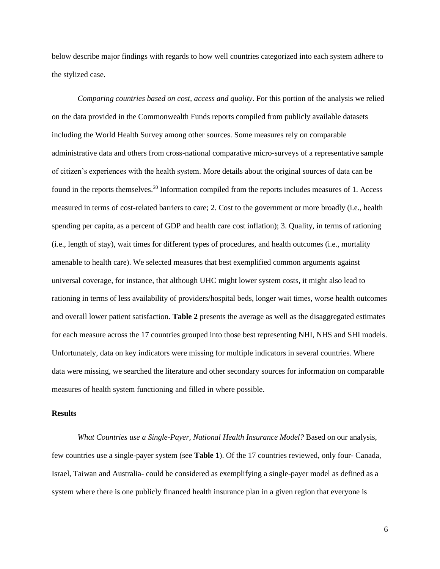below describe major findings with regards to how well countries categorized into each system adhere to the stylized case.

*Comparing countries based on cost, access and quality*. For this portion of the analysis we relied on the data provided in the Commonwealth Funds reports compiled from publicly available datasets including the World Health Survey among other sources. Some measures rely on comparable administrative data and others from cross-national comparative micro-surveys of a representative sample of citizen's experiences with the health system. More details about the original sources of data can be found in the reports themselves.<sup>20</sup> Information compiled from the reports includes measures of 1. Access measured in terms of cost-related barriers to care; 2. Cost to the government or more broadly (i.e., health spending per capita, as a percent of GDP and health care cost inflation); 3. Quality, in terms of rationing (i.e., length of stay), wait times for different types of procedures, and health outcomes (i.e., mortality amenable to health care). We selected measures that best exemplified common arguments against universal coverage, for instance, that although UHC might lower system costs, it might also lead to rationing in terms of less availability of providers/hospital beds, longer wait times, worse health outcomes and overall lower patient satisfaction. **Table 2** presents the average as well as the disaggregated estimates for each measure across the 17 countries grouped into those best representing NHI, NHS and SHI models. Unfortunately, data on key indicators were missing for multiple indicators in several countries. Where data were missing, we searched the literature and other secondary sources for information on comparable measures of health system functioning and filled in where possible.

#### **Results**

*What Countries use a Single-Payer, National Health Insurance Model?* Based on our analysis, few countries use a single-payer system (see **Table 1**). Of the 17 countries reviewed, only four- Canada, Israel, Taiwan and Australia- could be considered as exemplifying a single-payer model as defined as a system where there is one publicly financed health insurance plan in a given region that everyone is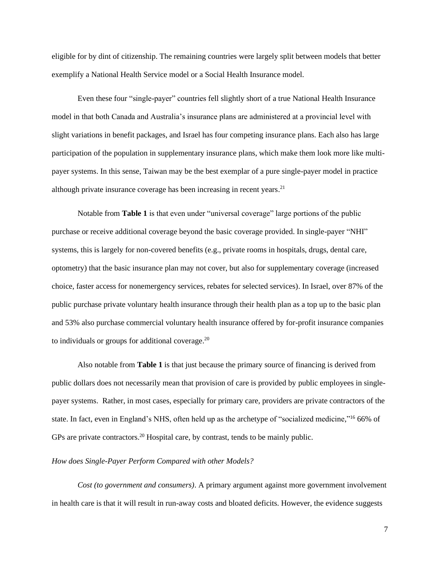eligible for by dint of citizenship. The remaining countries were largely split between models that better exemplify a National Health Service model or a Social Health Insurance model.

Even these four "single-payer" countries fell slightly short of a true National Health Insurance model in that both Canada and Australia's insurance plans are administered at a provincial level with slight variations in benefit packages, and Israel has four competing insurance plans. Each also has large participation of the population in supplementary insurance plans, which make them look more like multipayer systems. In this sense, Taiwan may be the best exemplar of a pure single-payer model in practice although private insurance coverage has been increasing in recent years. 21

Notable from **Table 1** is that even under "universal coverage" large portions of the public purchase or receive additional coverage beyond the basic coverage provided. In single-payer "NHI" systems, this is largely for non-covered benefits (e.g., private rooms in hospitals, drugs, dental care, optometry) that the basic insurance plan may not cover, but also for supplementary coverage (increased choice, faster access for nonemergency services, rebates for selected services). In Israel, over 87% of the public purchase private voluntary health insurance through their health plan as a top up to the basic plan and 53% also purchase commercial voluntary health insurance offered by for-profit insurance companies to individuals or groups for additional coverage.<sup>20</sup>

Also notable from **Table 1** is that just because the primary source of financing is derived from public dollars does not necessarily mean that provision of care is provided by public employees in singlepayer systems. Rather, in most cases, especially for primary care, providers are private contractors of the state. In fact, even in England's NHS, often held up as the archetype of "socialized medicine,"<sup>16</sup> 66% of GPs are private contractors.<sup>20</sup> Hospital care, by contrast, tends to be mainly public.

#### *How does Single-Payer Perform Compared with other Models?*

*Cost (to government and consumers)*. A primary argument against more government involvement in health care is that it will result in run-away costs and bloated deficits. However, the evidence suggests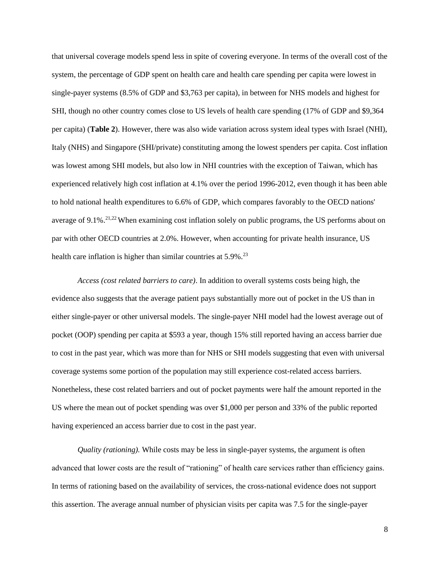that universal coverage models spend less in spite of covering everyone. In terms of the overall cost of the system, the percentage of GDP spent on health care and health care spending per capita were lowest in single-payer systems (8.5% of GDP and \$3,763 per capita), in between for NHS models and highest for SHI, though no other country comes close to US levels of health care spending (17% of GDP and \$9,364 per capita) (**Table 2**). However, there was also wide variation across system ideal types with Israel (NHI), Italy (NHS) and Singapore (SHI/private) constituting among the lowest spenders per capita. Cost inflation was lowest among SHI models, but also low in NHI countries with the exception of Taiwan, which has experienced relatively high cost inflation at 4.1% over the period 1996-2012, even though it has been able to hold national health expenditures to 6.6% of GDP, which compares favorably to the OECD nations' average of 9.1%.<sup>21,22</sup> When examining cost inflation solely on public programs, the US performs about on par with other OECD countries at 2.0%. However, when accounting for private health insurance, US health care inflation is higher than similar countries at 5.9%.<sup>23</sup>

*Access (cost related barriers to care)*. In addition to overall systems costs being high, the evidence also suggests that the average patient pays substantially more out of pocket in the US than in either single-payer or other universal models. The single-payer NHI model had the lowest average out of pocket (OOP) spending per capita at \$593 a year, though 15% still reported having an access barrier due to cost in the past year, which was more than for NHS or SHI models suggesting that even with universal coverage systems some portion of the population may still experience cost-related access barriers. Nonetheless, these cost related barriers and out of pocket payments were half the amount reported in the US where the mean out of pocket spending was over \$1,000 per person and 33% of the public reported having experienced an access barrier due to cost in the past year.

*Quality (rationing).* While costs may be less in single-payer systems, the argument is often advanced that lower costs are the result of "rationing" of health care services rather than efficiency gains. In terms of rationing based on the availability of services, the cross-national evidence does not support this assertion. The average annual number of physician visits per capita was 7.5 for the single-payer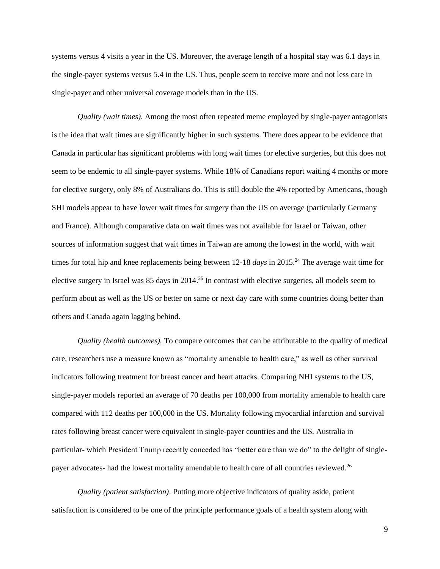systems versus 4 visits a year in the US. Moreover, the average length of a hospital stay was 6.1 days in the single-payer systems versus 5.4 in the US. Thus, people seem to receive more and not less care in single-payer and other universal coverage models than in the US.

*Quality (wait times)*. Among the most often repeated meme employed by single-payer antagonists is the idea that wait times are significantly higher in such systems. There does appear to be evidence that Canada in particular has significant problems with long wait times for elective surgeries, but this does not seem to be endemic to all single-payer systems. While 18% of Canadians report waiting 4 months or more for elective surgery, only 8% of Australians do. This is still double the 4% reported by Americans, though SHI models appear to have lower wait times for surgery than the US on average (particularly Germany and France). Although comparative data on wait times was not available for Israel or Taiwan, other sources of information suggest that wait times in Taiwan are among the lowest in the world, with wait times for total hip and knee replacements being between 12-18 *days* in 2015.<sup>24</sup> The average wait time for elective surgery in Israel was 85 days in 2014.<sup>25</sup> In contrast with elective surgeries, all models seem to perform about as well as the US or better on same or next day care with some countries doing better than others and Canada again lagging behind.

*Quality (health outcomes).* To compare outcomes that can be attributable to the quality of medical care, researchers use a measure known as "mortality amenable to health care," as well as other survival indicators following treatment for breast cancer and heart attacks. Comparing NHI systems to the US, single-payer models reported an average of 70 deaths per 100,000 from mortality amenable to health care compared with 112 deaths per 100,000 in the US. Mortality following myocardial infarction and survival rates following breast cancer were equivalent in single-payer countries and the US. Australia in particular- which President Trump recently conceded has "better care than we do" to the delight of singlepayer advocates- had the lowest mortality amendable to health care of all countries reviewed.<sup>26</sup>

*Quality (patient satisfaction)*. Putting more objective indicators of quality aside, patient satisfaction is considered to be one of the principle performance goals of a health system along with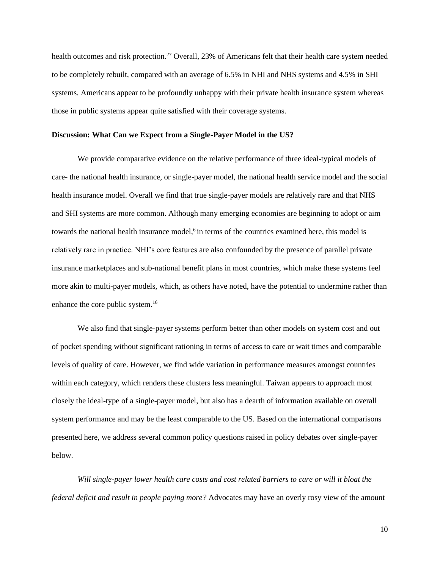health outcomes and risk protection.<sup>27</sup> Overall, 23% of Americans felt that their health care system needed to be completely rebuilt, compared with an average of 6.5% in NHI and NHS systems and 4.5% in SHI systems. Americans appear to be profoundly unhappy with their private health insurance system whereas those in public systems appear quite satisfied with their coverage systems.

#### **Discussion: What Can we Expect from a Single-Payer Model in the US?**

We provide comparative evidence on the relative performance of three ideal-typical models of care- the national health insurance, or single-payer model, the national health service model and the social health insurance model. Overall we find that true single-payer models are relatively rare and that NHS and SHI systems are more common. Although many emerging economies are beginning to adopt or aim towards the national health insurance model,<sup>6</sup> in terms of the countries examined here, this model is relatively rare in practice. NHI's core features are also confounded by the presence of parallel private insurance marketplaces and sub-national benefit plans in most countries, which make these systems feel more akin to multi-payer models, which, as others have noted, have the potential to undermine rather than enhance the core public system.<sup>16</sup>

We also find that single-payer systems perform better than other models on system cost and out of pocket spending without significant rationing in terms of access to care or wait times and comparable levels of quality of care. However, we find wide variation in performance measures amongst countries within each category, which renders these clusters less meaningful. Taiwan appears to approach most closely the ideal-type of a single-payer model, but also has a dearth of information available on overall system performance and may be the least comparable to the US. Based on the international comparisons presented here, we address several common policy questions raised in policy debates over single-payer below.

*Will single-payer lower health care costs and cost related barriers to care or will it bloat the federal deficit and result in people paying more?* Advocates may have an overly rosy view of the amount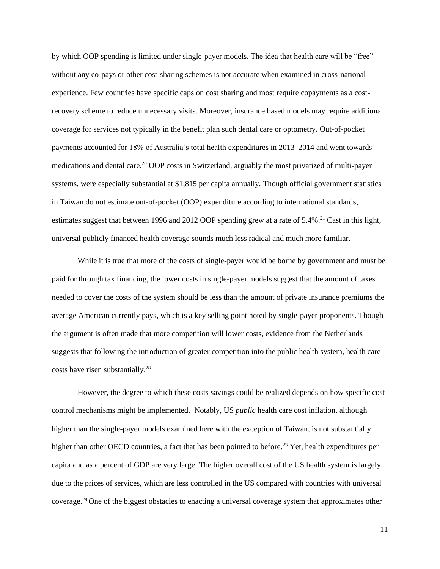by which OOP spending is limited under single-payer models. The idea that health care will be "free" without any co-pays or other cost-sharing schemes is not accurate when examined in cross-national experience. Few countries have specific caps on cost sharing and most require copayments as a costrecovery scheme to reduce unnecessary visits. Moreover, insurance based models may require additional coverage for services not typically in the benefit plan such dental care or optometry. Out-of-pocket payments accounted for 18% of Australia's total health expenditures in 2013–2014 and went towards medications and dental care.<sup>20</sup> OOP costs in Switzerland, arguably the most privatized of multi-payer systems, were especially substantial at \$1,815 per capita annually. Though official government statistics in Taiwan do not estimate out-of-pocket (OOP) expenditure according to international standards, estimates suggest that between 1996 and 2012 OOP spending grew at a rate of  $5.4\%$ .<sup>21</sup> Cast in this light, universal publicly financed health coverage sounds much less radical and much more familiar.

While it is true that more of the costs of single-payer would be borne by government and must be paid for through tax financing, the lower costs in single-payer models suggest that the amount of taxes needed to cover the costs of the system should be less than the amount of private insurance premiums the average American currently pays, which is a key selling point noted by single-payer proponents. Though the argument is often made that more competition will lower costs, evidence from the Netherlands suggests that following the introduction of greater competition into the public health system, health care costs have risen substantially.<sup>28</sup>

However, the degree to which these costs savings could be realized depends on how specific cost control mechanisms might be implemented. Notably, US *public* health care cost inflation, although higher than the single-payer models examined here with the exception of Taiwan, is not substantially higher than other OECD countries, a fact that has been pointed to before.<sup>23</sup> Yet, health expenditures per capita and as a percent of GDP are very large. The higher overall cost of the US health system is largely due to the prices of services, which are less controlled in the US compared with countries with universal coverage.<sup>29</sup> One of the biggest obstacles to enacting a universal coverage system that approximates other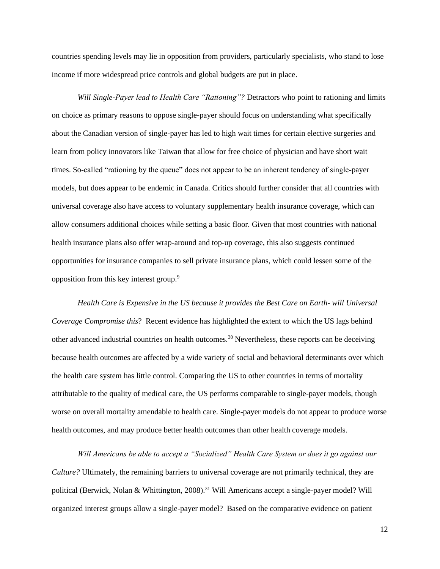countries spending levels may lie in opposition from providers, particularly specialists, who stand to lose income if more widespread price controls and global budgets are put in place.

*Will Single-Payer lead to Health Care "Rationing"?* Detractors who point to rationing and limits on choice as primary reasons to oppose single-payer should focus on understanding what specifically about the Canadian version of single-payer has led to high wait times for certain elective surgeries and learn from policy innovators like Taiwan that allow for free choice of physician and have short wait times. So-called "rationing by the queue" does not appear to be an inherent tendency of single-payer models, but does appear to be endemic in Canada. Critics should further consider that all countries with universal coverage also have access to voluntary supplementary health insurance coverage, which can allow consumers additional choices while setting a basic floor. Given that most countries with national health insurance plans also offer wrap-around and top-up coverage, this also suggests continued opportunities for insurance companies to sell private insurance plans, which could lessen some of the opposition from this key interest group. 9

*Health Care is Expensive in the US because it provides the Best Care on Earth- will Universal Coverage Compromise this*? Recent evidence has highlighted the extent to which the US lags behind other advanced industrial countries on health outcomes.<sup>30</sup> Nevertheless, these reports can be deceiving because health outcomes are affected by a wide variety of social and behavioral determinants over which the health care system has little control. Comparing the US to other countries in terms of mortality attributable to the quality of medical care, the US performs comparable to single-payer models, though worse on overall mortality amendable to health care. Single-payer models do not appear to produce worse health outcomes, and may produce better health outcomes than other health coverage models.

*Will Americans be able to accept a "Socialized" Health Care System or does it go against our Culture?* Ultimately, the remaining barriers to universal coverage are not primarily technical, they are political (Berwick, Nolan & Whittington, 2008).<sup>31</sup> Will Americans accept a single-payer model? Will organized interest groups allow a single-payer model? Based on the comparative evidence on patient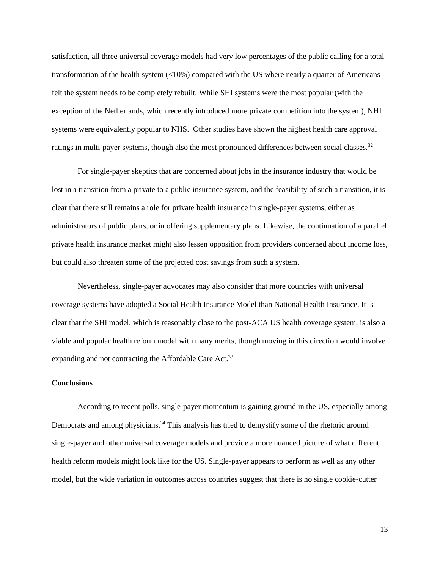satisfaction, all three universal coverage models had very low percentages of the public calling for a total transformation of the health system (<10%) compared with the US where nearly a quarter of Americans felt the system needs to be completely rebuilt. While SHI systems were the most popular (with the exception of the Netherlands, which recently introduced more private competition into the system), NHI systems were equivalently popular to NHS.Other studies have shown the highest health care approval ratings in multi-payer systems, though also the most pronounced differences between social classes. $32$ 

For single-payer skeptics that are concerned about jobs in the insurance industry that would be lost in a transition from a private to a public insurance system, and the feasibility of such a transition, it is clear that there still remains a role for private health insurance in single-payer systems, either as administrators of public plans, or in offering supplementary plans. Likewise, the continuation of a parallel private health insurance market might also lessen opposition from providers concerned about income loss, but could also threaten some of the projected cost savings from such a system.

Nevertheless, single-payer advocates may also consider that more countries with universal coverage systems have adopted a Social Health Insurance Model than National Health Insurance. It is clear that the SHI model, which is reasonably close to the post-ACA US health coverage system, is also a viable and popular health reform model with many merits, though moving in this direction would involve expanding and not contracting the Affordable Care Act.<sup>33</sup>

#### **Conclusions**

According to recent polls, single-payer momentum is gaining ground in the US, especially among Democrats and among physicians.<sup>34</sup> This analysis has tried to demystify some of the rhetoric around single-payer and other universal coverage models and provide a more nuanced picture of what different health reform models might look like for the US. Single-payer appears to perform as well as any other model, but the wide variation in outcomes across countries suggest that there is no single cookie-cutter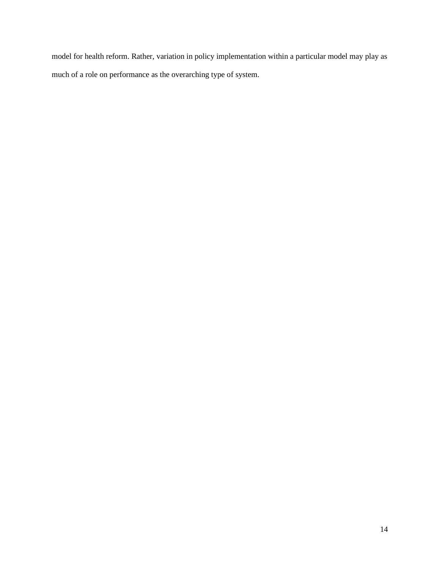model for health reform. Rather, variation in policy implementation within a particular model may play as much of a role on performance as the overarching type of system.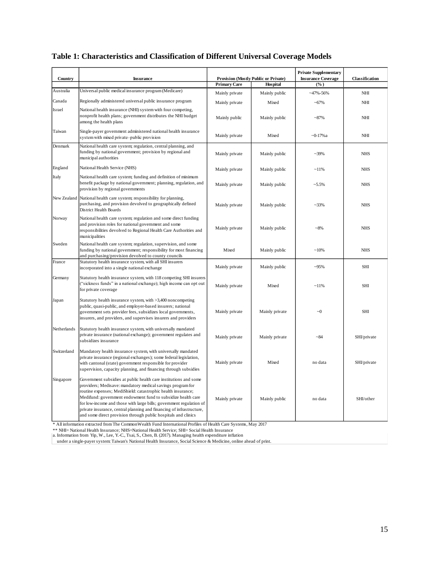| Country     | <b>Insurance</b>                                                                                                                                                                                                                                                                                                                                                                                                                                                                |                | Provision (Mostly Public or Private)   | <b>Private Supplementary</b><br><b>Insurance Coverage</b><br>(%) | Classification |  |
|-------------|---------------------------------------------------------------------------------------------------------------------------------------------------------------------------------------------------------------------------------------------------------------------------------------------------------------------------------------------------------------------------------------------------------------------------------------------------------------------------------|----------------|----------------------------------------|------------------------------------------------------------------|----------------|--|
|             |                                                                                                                                                                                                                                                                                                                                                                                                                                                                                 |                | <b>Primary Care</b><br><b>Hospital</b> |                                                                  |                |  |
| Australia   | Universal public medical insurance program (Medicare)                                                                                                                                                                                                                                                                                                                                                                                                                           | Mainly private | Mainly public                          | $-47\% - 56\%$                                                   | NHI            |  |
| Canada      | Regionally administered universal public insurance program                                                                                                                                                                                                                                                                                                                                                                                                                      | Mainly private | Mixed                                  | ~100                                                             | NHI            |  |
| Israel      | National health insurance (NHI) system with four competing,<br>nonprofit health plans; government distributes the NHI budget<br>among the health plans                                                                                                                                                                                                                                                                                                                          | Mainly public  | Mainly public                          | $-87%$                                                           | NHI            |  |
| Taiwan      | Single-payer government administered national health insurance<br>system with mixed private-public provision                                                                                                                                                                                                                                                                                                                                                                    | Mainly private | Mixed                                  | $-0-17%a$                                                        | NHI            |  |
| Denmark     | National health care system; regulation, central planning, and<br>funding by national government; provision by regional and<br>municipal authorities                                                                                                                                                                                                                                                                                                                            | Mainly private | Mainly public                          | $~239\%$                                                         | <b>NHS</b>     |  |
| England     | National Health Service (NHS)                                                                                                                                                                                                                                                                                                                                                                                                                                                   | Mainly private | Mainly public                          | $~11\%$                                                          | <b>NHS</b>     |  |
| Italy       | National health care system; funding and definition of minimum<br>benefit package by national government; planning, regulation, and<br>provision by regional governments                                                                                                                                                                                                                                                                                                        | Mainly private | Mainly public                          | $-5.5\%$                                                         | NHS            |  |
| New Zealand | National health care system; responsibility for planning,<br>purchasing, and provision devolved to geographically defined<br>District Health Boards                                                                                                                                                                                                                                                                                                                             | Mainly private | Mainly public                          | ~233%                                                            | <b>NHS</b>     |  |
| Norway      | National health care system; regulation and some direct funding<br>and provision roles for national government and some<br>responsibilities devolved to Regional Health Care Authorities and<br>municipalities                                                                                                                                                                                                                                                                  | Mainly private | Mainly public                          | ~18%                                                             | <b>NHS</b>     |  |
| Sweden      | National health care system; regulation, supervision, and some<br>funding by national government; responsibility for most financing<br>and purchasing/provision devolved to county councils                                                                                                                                                                                                                                                                                     | Mixed          | Mainly public                          | $~10\%$                                                          | <b>NHS</b>     |  |
| France      | Statutory health insurance system, with all SHI insurers<br>incorporated into a single national exchange                                                                                                                                                                                                                                                                                                                                                                        | Mainly private | Mainly public                          | $-95%$                                                           | SHI            |  |
| Germany     | Statutory health insurance system, with 118 competing SHI insurers<br>("sickness funds" in a national exchange); high income can opt out<br>for private coverage                                                                                                                                                                                                                                                                                                                | Mainly private | Mixed                                  | $~11\%$                                                          | SHI            |  |
| Japan       | Statutory health insurance system, with >3,400 noncompeting<br>public, quasi-public, and employer-based insurers; national<br>government sets provider fees, subsidizes local governments,<br>insurers, and providers, and supervises insurers and providers                                                                                                                                                                                                                    | Mainly private | Mainly private                         | $\sim 0$                                                         | <b>SHI</b>     |  |
| Netherlands | Statutory health insurance system, with universally mandated<br>private insurance (national exchange); government regulates and<br>subsidizes insurance                                                                                                                                                                                                                                                                                                                         | Mainly private | Mainly private                         | $-84$                                                            | SHI/private    |  |
| Switzerland | Mandatory health insurance system, with universally mandated<br>private insurance (regional exchanges); some federal legislation,<br>with cantonal (state) government responsible for provider<br>supervision, capacity planning, and financing through subsidies                                                                                                                                                                                                               | Mainly private | Mixed                                  | no data                                                          | SHI/private    |  |
| Singapore   | Government subsidies at public health care institutions and some<br>providers; Medisave: mandatory medical savings program for<br>routine expenses; MediShield: catastrophic health insurance;<br>Medifund: government endowment fund to subsidize health care<br>for low-income and those with large bills; government regulation of<br>private insurance, central planning and financing of infrastructure,<br>and some direct provision through public hospitals and clinics | Mainly private | Mainly public                          | no data                                                          | SHI/other      |  |

## **Table 1: Characteristics and Classification of Different Universal Coverage Models**

\* All information extracted from The CommonWealth Fund International Profiles of Health Care Systems, May 2017

\*\* NHI= National Health Insurance; NHS=National Health Service; SHI= Social Health Insurance a. Information from Yip, W., Lee, Y.-C., Tsai, S., Chen, B. (2017). Managing health expenditure inflation

under a single-payer system: Taiwan's National Health Insurance, Social Science & Medicine, online ahead of print.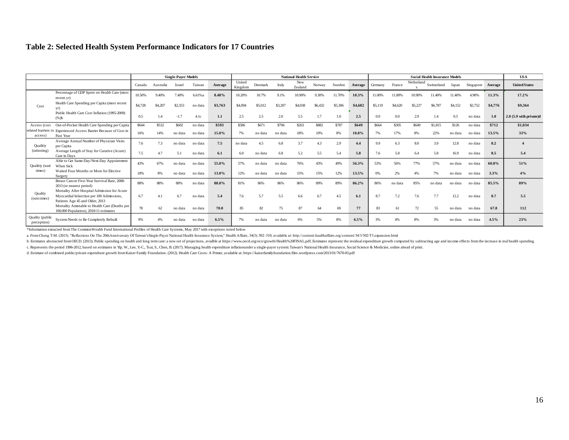### **Table 2: Selected Health System Performance Indicators for 17 Countries**

|                                |                                                                                                                              | <b>Single-Payer Models</b> |           |         |         | <b>National Health Service</b> |                   |         |         |                       |         |         | <b>Social Health Insurance Models</b> |         |         |            |             |               |           | <b>USA</b> |                           |
|--------------------------------|------------------------------------------------------------------------------------------------------------------------------|----------------------------|-----------|---------|---------|--------------------------------|-------------------|---------|---------|-----------------------|---------|---------|---------------------------------------|---------|---------|------------|-------------|---------------|-----------|------------|---------------------------|
|                                |                                                                                                                              | Canada                     | Australia | Israel  | Taiwan  | Average                        | United<br>Kingdom | Denmark | Italy   | <b>New</b><br>Zealand | Norway  | Sweden  | Average                               | Germany | France  | Netherland | Switzerland | Japan         | Singapore | Average    | <b>United States</b>      |
| Cost                           | Percentage of GDP Spent on Health Care (most<br>recent yr)                                                                   | 10.50%                     | 9.40%     | 7.40%   | 6.61%a  | 8.48%                          | 10.20%            | 10.7%   | 9.1%    | 10.90%                | 9.30%   | 11.70%  | 10.3%                                 | 11.00%  | 11.80%  | 10.90%     | 11.40%      | 11.40%        | 4.90%     | 11.3%      | 17.2%                     |
|                                | Health Care Spending per Capita (most recent                                                                                 | \$4,728                    | \$4,207   | \$2,353 | no data | \$3,763                        | \$4,094           | \$5,012 | \$3,207 | \$4,038               | \$6,432 | \$5,306 | \$4,682                               | \$5,119 | \$4,620 | \$5,227    | \$6,787     | \$4,152       | \$2,752   | \$4,776    | \$9,364                   |
|                                | Public Health Care Cost Inflation (1995-2009)<br>$(96)$ b                                                                    | 0.5                        | 1.4       | $-1.7$  | 4.1c    | 1.1                            | 2.5               | 2.5     | 2.0     | 5.5                   | 1.7     | 1.0     | 2.5                                   | 0.0     | $0.0\,$ | 2.9        | 1.4         | $0.5^{\circ}$ | no data   | 1.0        | $2.0$ (5.9 with private)d |
| Access (cost<br>access)        | Out-of-Pocket Health Care Spending per Capita                                                                                | <b>S644</b>                | \$532     | \$602   | no data | \$593                          | \$586             | \$671   | \$706   | \$263                 | \$882   | \$787   | \$649                                 | \$664   | \$305   | \$649      | \$1,815     | \$126         | no data   | \$712      | \$1,034                   |
|                                | related barriers to Experienced Access Barrier Because of Cost in<br>Past Year                                               | 16%                        | 14%       | no data | no data | 15.0%                          | 7%                | no data | no data | 18%                   | 10%     | 8%      | 10.8%                                 | 7%      | 17%     | 8%         | 22%         | no data       | no data   | 13.5%      | 33%                       |
| Qualitiy<br>(rationing)        | Average Annual Number of Physician Visits<br>per Capita                                                                      | 7.6                        | 7.3       | no data | no data | 7.5                            | no data           | 4.5     | 6.8     | 3.7                   | 4.3     | 2.9     | 4.4                                   | 9.9     | 6.3     | 8.0        | 3.9         | 12.8          | no data   | 8.2        |                           |
|                                | Average Length of Stay for Curative (Acute)<br>Care in Davs                                                                  | 7.5                        | 4.7       | 5.1     | no data | 6.1                            | 6.0               | no data | 6.8     | 5.2                   | 5.5     | 5.4     | 5.8                                   | 7.6     | 5.8     | 6.4        | 5.8         | 16.9          | no data   | 8.5        | 5.4                       |
| Qualitiy (wait<br>times)       | Able to Get Same-Day/Next-Day Appointment<br>When Sick                                                                       | 43%                        | 67%       | no data | no data | 55.0%                          | 57%               | no data | no data | 76%                   | 43%     | 49%     | 56.3%                                 | 53%     | 56%     | 77%        | 57%         | no data       | no data   | 60.8%      | 51%                       |
|                                | Waited Four Months or More for Elective<br>Surgery                                                                           | 18%                        | 8%        | no data | no data | 13.0%                          | 12%               | no data | no data | 15%                   | 15%     | 12%     | 13.5%                                 | 0%      | 2%      | 4%         | 7%          | no data       | no data   | 3.3%       | 4%                        |
| Quality<br>(outcomes)          | Breast Cancer Five-Year Survival Rate, 2008-<br>2013 (or nearest period)                                                     | 88%                        | 88%       | 88%     | no data | 88.0%                          | 81%               | 86%     | 86%     | 86%                   | 89%     | 89%     | 86.2%                                 | 86%     | no data | 85%        | no data     | no data       | no data   | 85.5%      | 89%                       |
|                                | Mortality After Hospital Admission for Acute<br>Myocardial Infarction per 100 Admissions,<br>Patients Age 45 and Older, 2013 | 6.7                        |           | 6.7     | no data | 5.4                            | 7.6               | 5.7     | 5.5     | 6.6                   | 6.7     | 4.5     | 6.1                                   | 8.7     | 7.2     | 7.6        | 7.7         | 12.2          | no data   | 8.7        | 5.5                       |
|                                | Mortality Amenable to Health Care (Deaths per<br>100,000 Population), 2010/11 estimates                                      | 78                         | 62        | no data | no data | 70.0                           | 85                | 82      | 75      | 87                    | 64      | 69      | 77                                    | 83      | 61      | 72         | 55          | no data       | no data   | 67.8       | 112                       |
| Quality (public<br>perception) | System Needs to Be Completely Rebuilt                                                                                        | 9%                         |           | no data | no data | 6.5%                           |                   | no data | no data |                       | 5%      | 8%      | 6.5%                                  |         |         |            |             | no data       | no data   | 4.5%       | 23%                       |

\*Information extracted from The CommonWealth Fund International Profiles of Health Care Systems, May 2017 with exceptions noted below

a. From Cheng T-M. (2015). "Reflections On The 20thAnniversary Of Taiwan's Single-Payer National Health Insurance System," Health Affairs, 34(3): 502-510; available at: http://content.healthaffairs.org/content/34/3/502/T3.

b. Estimates abstracted from OECD. (2013). Public spending on health and long term care: a new set of projections, aviable at https://www.oecd.org/eco/growth/Health%20FINAL.pdf. Estimates represent the residual expenditure

c. Represents the period 1996-2012, based on estimates in Yip, W., Lee, Y.C., Tsai, S., Chen, B. (2017). Managing health expenditure inflationunder a single-payer system: Taiwan's National Health Insurance, Social Science

d. Estimate of combined public/private expendture growth from Kaiser Family Foundation. (2012). Health Care Costs: A Primer, available at: https://kaiserfamilyfoundation.files.wordpress.com/2013/01/7670-03.pdf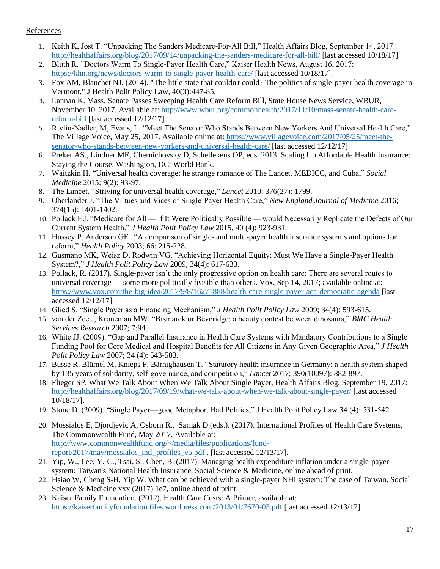### **References**

- 1. Keith K, Jost T. "Unpacking The Sanders Medicare-For-All Bill," Health Affairs Blog, September 14, 2017. <http://healthaffairs.org/blog/2017/09/14/unpacking-the-sanders-medicare-for-all-bill/> [last accessed 10/18/17]
- 2. Bluth R. "Doctors Warm To Single-Payer Health Care," Kaiser Health News, August 16, 2017: <https://khn.org/news/doctors-warm-to-single-payer-health-care/> [last accessed 10/18/17].
- 3. Fox AM, Blanchet NJ. (2014). "The little state that couldn't could? The politics of single-payer health coverage in Vermont," J Health Polit Policy Law, 40(3):447-85.
- 4. Lannan K. Mass. Senate Passes Sweeping Health Care Reform Bill, State House News Service, WBUR, November 10, 2017. Available at: [http://www.wbur.org/commonhealth/2017/11/10/mass-senate-health-care](http://www.wbur.org/commonhealth/2017/11/10/mass-senate-health-care-reform-bill)[reform-bill](http://www.wbur.org/commonhealth/2017/11/10/mass-senate-health-care-reform-bill) [last accessed 12/12/17].
- 5. Rivlin-Nadler, M, Evans, L. "Meet The Senator Who Stands Between New Yorkers And Universal Health Care," The Village Voice, May 25, 2017. Available online at: [https://www.villagevoice.com/2017/05/25/meet-the](https://www.villagevoice.com/2017/05/25/meet-the-senator-who-stands-between-new-yorkers-and-universal-health-care/)[senator-who-stands-between-new-yorkers-and-universal-health-care/](https://www.villagevoice.com/2017/05/25/meet-the-senator-who-stands-between-new-yorkers-and-universal-health-care/) [last accessed 12/12/17]
- 6. Preker AS., Lindner ME, Chernichovsky D, Schellekens OP, eds. 2013. Scaling Up Affordable Health Insurance: Staying the Course. Washington, DC: World Bank.
- 7. Waitzkin H. "Universal health coverage: he strange romance of The Lancet, MEDICC, and Cuba," *Social Medicine* 2015; 9(2): 93-97.
- 8. The Lancet. "Striving for universal health coverage," *Lancet* 2010; 376(27): 1799.
- 9. Oberlander J. "The Virtues and Vices of Single-Payer Health Care," *New England Journal of Medicine* 2016; 374(15): 1401-1402.
- 10. Pollack HJ. "Medicare for All — if It Were Politically Possible — would Necessarily Replicate the Defects of Our Current System Health," *J Health Polit Policy Law* 2015, 40 (4): 923-931.
- 11. Hussey P, Anderson GF.. "A comparison of single- and multi-payer health insurance systems and options for reform," *Health Policy* 2003; 66: 215-228.
- 12. Gusmano MK, Weisz D, Rodwin VG. "Achieving Horizontal Equity: Must We Have a Single-Payer Health System?," *J Health Polit Policy Law* 2009, 34(4): 617-633.
- 13. Pollack, R. (2017). Single-payer isn't the only progressive option on health care: There are several routes to universal coverage — some more politically feasible than others. Vox, Sep 14, 2017; available online at: <https://www.vox.com/the-big-idea/2017/9/8/16271888/health-care-single-payer-aca-democratic-agenda> [last accessed 12/12/17].
- 14. Glied S. "Single Payer as a Financing Mechanism," *J Health Polit Policy Law* 2009; 34(4): 593-615.
- 15. van der Zee J, Kroneman MW. "Bismarck or Beveridge: a beauty contest between dinosaurs," *BMC Health Services Research* 2007; 7:94.
- 16. White JJ. (2009). "Gap and Parallel Insurance in Health Care Systems with Mandatory Contributions to a Single Funding Pool for Core Medical and Hospital Benefits for All Citizens in Any Given Geographic Area," *J Health Polit Policy Law* 2007; 34 (4): 543-583.
- 17. Busse R, Blümel M, Knieps F, Bärnighausen T. "Statutory health insurance in Germany: a health system shaped by 135 years of solidarity, self-governance, and competition," *Lancet* 2017; 390(10097): 882-897.
- 18. Flieger SP. What We Talk About When We Talk About Single Payer, Health Affairs Blog, September 19, 2017: <http://healthaffairs.org/blog/2017/09/19/what-we-talk-about-when-we-talk-about-single-payer/> [last accessed 10/18/17].
- 19. Stone D. (2009). "Single Payer—good Metaphor, Bad Politics," J Health Polit Policy Law 34 (4): 531-542.
- 20. Mossialos E, Djordjevic A, Osborn R., Sarnak D (eds.). (2017). International Profiles of Health Care Systems, The Commonwealth Fund, May 2017. Available at: [http://www.commonwealthfund.org/~/media/files/publications/fund](http://www.commonwealthfund.org/~/media/files/publications/fund-report/2017/may/mossialos_intl_profiles_v5.pdf)[report/2017/may/mossialos\\_intl\\_profiles\\_v5.pdf](http://www.commonwealthfund.org/~/media/files/publications/fund-report/2017/may/mossialos_intl_profiles_v5.pdf) . [last accessed 12/13/17].
- 21. Yip, W., Lee, Y.-C., Tsai, S., Chen, B. (2017). Managing health expenditure inflation under a single-payer system: Taiwan's National Health Insurance, Social Science & Medicine, online ahead of print.
- 22. Hsiao W, Cheng S-H, Yip W. What can be achieved with a single-payer NHI system: The case of Taiwan. Social Science & Medicine xxx (2017) 1e7, online ahead of print.
- 23. Kaiser Family Foundation. (2012). Health Care Costs: A Primer, available at: <https://kaiserfamilyfoundation.files.wordpress.com/2013/01/7670-03.pdf> [last accessed 12/13/17]